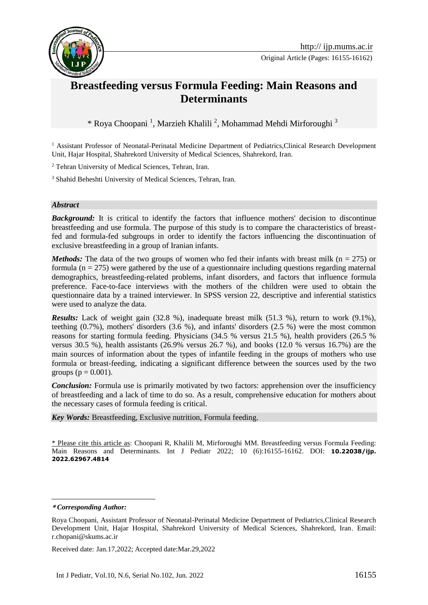

# **Breastfeeding versus Formula Feeding: Main Reasons and Determinants**

\* Roya Choopani <sup>1</sup> , Marzieh Khalili <sup>2</sup> , Mohammad Mehdi Mirforoughi <sup>3</sup>**<sup>1</sup>**

<sup>1</sup> Assistant Professor of Neonatal-Perinatal Medicine Department of Pediatrics, Clinical Research Development Unit, Hajar Hospital, Shahrekord University of Medical Sciences, Shahrekord, Iran.

<sup>2</sup> Tehran University of Medical Sciences, Tehran, Iran.

<sup>3</sup> Shahid Beheshti University of Medical Sciences, Tehran, Iran.

#### *Abstract*

**Background:** It is critical to identify the factors that influence mothers' decision to discontinue breastfeeding and use formula. The purpose of this study is to compare the characteristics of breastfed and formula-fed subgroups in order to identify the factors influencing the discontinuation of exclusive breastfeeding in a group of Iranian infants.

*Methods:* The data of the two groups of women who fed their infants with breast milk ( $n = 275$ ) or formula ( $n = 275$ ) were gathered by the use of a questionnaire including questions regarding maternal demographics, breastfeeding-related problems, infant disorders, and factors that influence formula preference. Face-to-face interviews with the mothers of the children were used to obtain the questionnaire data by a trained interviewer. In SPSS version 22, descriptive and inferential statistics were used to analyze the data.

*Results:* Lack of weight gain (32.8 %), inadequate breast milk (51.3 %), return to work (9.1%), teething (0.7%), mothers' disorders (3.6 %), and infants' disorders (2.5 %) were the most common reasons for starting formula feeding. Physicians (34.5 % versus 21.5 %), health providers (26.5 % versus 30.5 %), health assistants (26.9% versus 26.7 %), and books (12.0 % versus 16.7%) are the main sources of information about the types of infantile feeding in the groups of mothers who use formula or breast-feeding, indicating a significant difference between the sources used by the two groups ( $p = 0.001$ ).

*Conclusion:* Formula use is primarily motivated by two factors: apprehension over the insufficiency of breastfeeding and a lack of time to do so. As a result, comprehensive education for mothers about the necessary cases of formula feeding is critical.

*Key Words:* Breastfeeding, Exclusive nutrition, Formula feeding.

\* Please cite this article as: Choopani R, Khalili M, Mirforoughi MM. Breastfeeding versus Formula Feeding: Main Reasons and Determinants. Int J Pediatr 2022; 10 (6):16155-16162. DOI: **10.22038/ijp. 2022.62967.4814**

<u>.</u>

Received date: Jan.17,2022; Accepted date:Mar.29,2022

**<sup>\*</sup>** *Corresponding Author:*

Roya Choopani, Assistant Professor of Neonatal-Perinatal Medicine Department of Pediatrics,Clinical Research Development Unit, Hajar Hospital, Shahrekord University of Medical Sciences, Shahrekord, Iran. Email: r.chopani@skums.ac.ir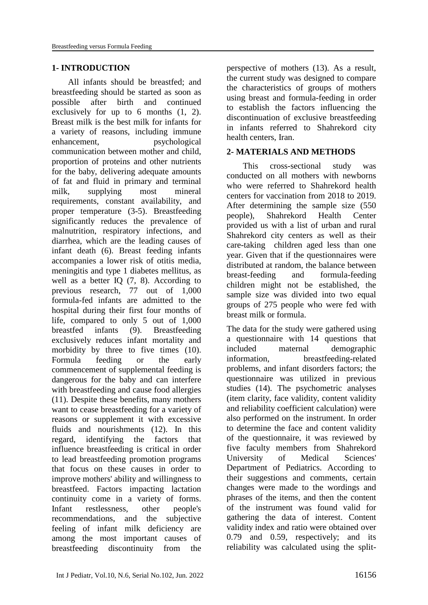#### **1- INTRODUCTION**

All infants should be breastfed; and breastfeeding should be started as soon as possible after birth and continued exclusively for up to 6 months (1, 2). Breast milk is the best milk for infants for a variety of reasons, including immune enhancement, psychological communication between mother and child, proportion of proteins and other nutrients for the baby, delivering adequate amounts of fat and fluid in primary and terminal milk, supplying most mineral requirements, constant availability, and proper temperature (3-5). Breastfeeding significantly reduces the prevalence of malnutrition, respiratory infections, and diarrhea, which are the leading causes of infant death (6). Breast feeding infants accompanies a lower risk of otitis media, meningitis and type 1 diabetes mellitus, as well as a better IO  $(7, 8)$ . According to previous research, 77 out of 1,000 formula-fed infants are admitted to the hospital during their first four months of life, compared to only 5 out of 1,000 breastfed infants (9). Breastfeeding exclusively reduces infant mortality and morbidity by three to five times (10). Formula feeding or the early commencement of supplemental feeding is dangerous for the baby and can interfere with breastfeeding and cause food allergies (11). Despite these benefits, many mothers want to cease breastfeeding for a variety of reasons or supplement it with excessive fluids and nourishments (12). In this regard, identifying the factors that influence breastfeeding is critical in order to lead breastfeeding promotion programs that focus on these causes in order to improve mothers' ability and willingness to breastfeed. Factors impacting lactation continuity come in a variety of forms. Infant restlessness, other people's recommendations, and the subjective feeling of infant milk deficiency are among the most important causes of breastfeeding discontinuity from the perspective of mothers (13). As a result, the current study was designed to compare the characteristics of groups of mothers using breast and formula-feeding in order to establish the factors influencing the discontinuation of exclusive breastfeeding in infants referred to Shahrekord city health centers, Iran.

#### **2- MATERIALS AND METHODS**

This cross-sectional study was conducted on all mothers with newborns who were referred to Shahrekord health centers for vaccination from 2018 to 2019. After determining the sample size (550 people), Shahrekord Health Center provided us with a list of urban and rural Shahrekord city centers as well as their care-taking children aged less than one year. Given that if the questionnaires were distributed at random, the balance between breast-feeding and formula-feeding children might not be established, the sample size was divided into two equal groups of 275 people who were fed with breast milk or formula.

The data for the study were gathered using a questionnaire with 14 questions that included maternal demographic information, breastfeeding-related problems, and infant disorders factors; the questionnaire was utilized in previous studies (14). The psychometric analyses (item clarity, face validity, content validity and reliability coefficient calculation) were also performed on the instrument. In order to determine the face and content validity of the questionnaire, it was reviewed by five faculty members from Shahrekord University of Medical Sciences' Department of Pediatrics. According to their suggestions and comments, certain changes were made to the wordings and phrases of the items, and then the content of the instrument was found valid for gathering the data of interest. Content validity index and ratio were obtained over 0.79 and 0.59, respectively; and its reliability was calculated using the split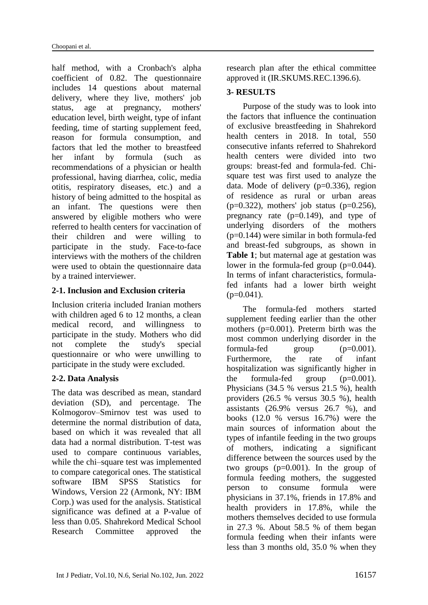half method, with a Cronbach's alpha coefficient of 0.82. The questionnaire includes 14 questions about maternal delivery, where they live, mothers' job status, age at pregnancy, mothers' education level, birth weight, type of infant feeding, time of starting supplement feed, reason for formula consumption, and factors that led the mother to breastfeed her infant by formula (such as recommendations of a physician or health professional, having diarrhea, colic, media otitis, respiratory diseases, etc.) and a history of being admitted to the hospital as an infant. The questions were then answered by eligible mothers who were referred to health centers for vaccination of their children and were willing to participate in the study. Face-to-face interviews with the mothers of the children were used to obtain the questionnaire data by a trained interviewer.

## **2-1. Inclusion and Exclusion criteria**

Inclusion criteria included Iranian mothers with children aged 6 to 12 months, a clean medical record, and willingness to participate in the study. Mothers who did not complete the study's special questionnaire or who were unwilling to participate in the study were excluded.

## **2-2. Data Analysis**

The data was described as mean, standard deviation (SD), and percentage. The Kolmogorov–Smirnov test was used to determine the normal distribution of data, based on which it was revealed that all data had a normal distribution. T-test was used to compare continuous variables, while the chi–square test was implemented to compare categorical ones. The statistical software IBM SPSS Statistics for Windows, Version 22 (Armonk, NY: IBM Corp.) was used for the analysis. Statistical significance was defined at a P-value of less than 0.05. Shahrekord Medical School Research Committee approved the research plan after the ethical committee approved it (IR.SKUMS.REC.1396.6).

#### **3- RESULTS**

Purpose of the study was to look into the factors that influence the continuation of exclusive breastfeeding in Shahrekord health centers in 2018. In total, 550 consecutive infants referred to Shahrekord health centers were divided into two groups: breast-fed and formula-fed. Chisquare test was first used to analyze the data. Mode of delivery  $(p=0.336)$ , region of residence as rural or urban areas  $(p=0.322)$ , mothers' job status  $(p=0.256)$ , pregnancy rate  $(p=0.149)$ , and type of underlying disorders of the mothers  $(p=0.144)$  were similar in both formula-fed and breast-fed subgroups, as shown in **Table 1**; but maternal age at gestation was lower in the formula-fed group  $(p=0.044)$ . In terms of infant characteristics, formulafed infants had a lower birth weight  $(p=0.041)$ .

The formula-fed mothers started supplement feeding earlier than the other mothers (p=0.001). Preterm birth was the most common underlying disorder in the formula-fed group  $(p=0.001)$ . Furthermore, the rate of infant hospitalization was significantly higher in the formula-fed group  $(p=0.001)$ . Physicians (34.5 % versus 21.5 %), health providers (26.5 % versus 30.5 %), health assistants (26.9% versus 26.7 %), and books (12.0 % versus 16.7%) were the main sources of information about the types of infantile feeding in the two groups of mothers, indicating a significant difference between the sources used by the two groups  $(p=0.001)$ . In the group of formula feeding mothers, the suggested person to consume formula were physicians in 37.1%, friends in 17.8% and health providers in 17.8%, while the mothers themselves decided to use formula in 27.3 %. About 58.5 % of them began formula feeding when their infants were less than 3 months old, 35.0 % when they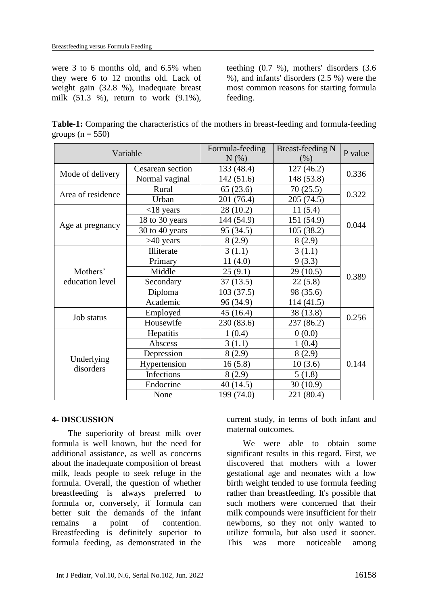were 3 to 6 months old, and 6.5% when they were 6 to 12 months old. Lack of weight gain (32.8 %), inadequate breast milk (51.3 %), return to work (9.1%), teething (0.7 %), mothers' disorders (3.6 %), and infants' disorders (2.5 %) were the most common reasons for starting formula feeding.

**Table-1:** Comparing the characteristics of the mothers in breast-feeding and formula-feeding groups ( $n = 550$ )

| Variable                    |                  | Formula-feeding<br>N(%) | <b>Breast-feeding N</b><br>$(\% )$ | P value |
|-----------------------------|------------------|-------------------------|------------------------------------|---------|
| Mode of delivery            | Cesarean section | 133 (48.4)              | 127(46.2)                          | 0.336   |
|                             | Normal vaginal   | 142(51.6)               | 148 (53.8)                         |         |
| Area of residence           | Rural            | 65(23.6)                | 70(25.5)                           | 0.322   |
|                             | Urban            | 201 (76.4)              | 205 (74.5)                         |         |
| Age at pregnancy            | $<$ 18 years     | 28 (10.2)               | 11(5.4)                            | 0.044   |
|                             | 18 to 30 years   | 144 (54.9)              | 151 (54.9)                         |         |
|                             | 30 to 40 years   | 95 (34.5)               | 105(38.2)                          |         |
|                             | $>40$ years      | 8(2.9)                  | 8(2.9)                             |         |
| Mothers'<br>education level | Illiterate       | 3(1.1)                  | 3(1.1)                             | 0.389   |
|                             | Primary          | 11(4.0)                 | 9(3.3)                             |         |
|                             | Middle           | 25(9.1)                 | 29 (10.5)                          |         |
|                             | Secondary        | 37(13.5)                | 22(5.8)                            |         |
|                             | Diploma          | 103(37.5)               | 98 (35.6)                          |         |
|                             | Academic         | 96 (34.9)               | 114 (41.5)                         |         |
| Job status                  | Employed         | 45(16.4)                | 38 (13.8)                          | 0.256   |
|                             | Housewife        | 230 (83.6)              | 237 (86.2)                         |         |
| Underlying<br>disorders     | Hepatitis        | 1(0.4)                  | 0(0.0)                             | 0.144   |
|                             | Abscess          | 3(1.1)                  | 1(0.4)                             |         |
|                             | Depression       | 8(2.9)                  | 8(2.9)                             |         |
|                             | Hypertension     | 16(5.8)                 | 10(3.6)                            |         |
|                             | Infections       | 8(2.9)                  | 5(1.8)                             |         |
|                             | Endocrine        | 40 (14.5)               | 30(10.9)                           |         |
|                             | None             | 199 (74.0)              | 221 (80.4)                         |         |

## **4- DISCUSSION**

The superiority of breast milk over formula is well known, but the need for additional assistance, as well as concerns about the inadequate composition of breast milk, leads people to seek refuge in the formula. Overall, the question of whether breastfeeding is always preferred to formula or, conversely, if formula can better suit the demands of the infant remains a point of contention. Breastfeeding is definitely superior to formula feeding, as demonstrated in the current study, in terms of both infant and maternal outcomes.

We were able to obtain some significant results in this regard. First, we discovered that mothers with a lower gestational age and neonates with a low birth weight tended to use formula feeding rather than breastfeeding. It's possible that such mothers were concerned that their milk compounds were insufficient for their newborns, so they not only wanted to utilize formula, but also used it sooner. This was more noticeable among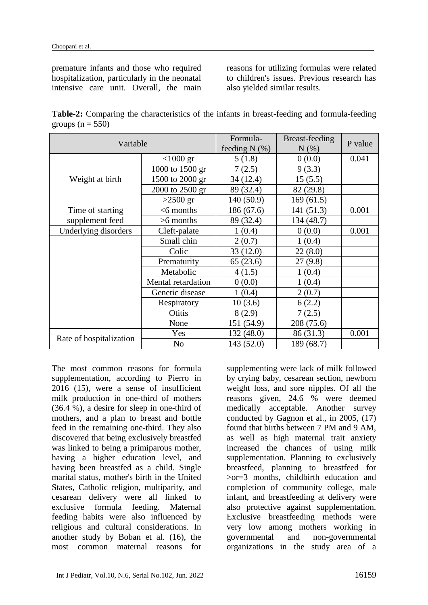premature infants and those who required hospitalization, particularly in the neonatal intensive care unit. Overall, the main reasons for utilizing formulas were related to children's issues. Previous research has also yielded similar results.

**Table-2:** Comparing the characteristics of the infants in breast-feeding and formula-feeding groups ( $n = 550$ )

| Variable                |                    | Formula-<br>feeding $N$ (%) | Breast-feeding<br>$N(\%)$ | P value |
|-------------------------|--------------------|-----------------------------|---------------------------|---------|
| Weight at birth         | $<$ 1000 gr        | 5(1.8)                      | 0(0.0)                    | 0.041   |
|                         | 1000 to 1500 gr    | 7(2.5)                      | 9(3.3)                    |         |
|                         | 1500 to 2000 gr    | 34(12.4)                    | 15(5.5)                   |         |
|                         | 2000 to 2500 gr    | 89 (32.4)                   | 82 (29.8)                 |         |
|                         | $>2500$ gr         | 140 (50.9)                  | 169(61.5)                 |         |
| Time of starting        | $<$ 6 months       | 186(67.6)                   | 141(51.3)                 | 0.001   |
| supplement feed         | $>6$ months        | 89 (32.4)                   | 134 (48.7)                |         |
| Underlying disorders    | Cleft-palate       | 1(0.4)                      | 0(0.0)                    | 0.001   |
|                         | Small chin         | 2(0.7)                      | 1(0.4)                    |         |
|                         | Colic              | 33(12.0)                    | 22(8.0)                   |         |
|                         | Prematurity        | 65(23.6)                    | 27(9.8)                   |         |
|                         | Metabolic          | 4(1.5)                      | 1(0.4)                    |         |
|                         | Mental retardation | 0(0.0)                      | 1(0.4)                    |         |
|                         | Genetic disease    | 1(0.4)                      | 2(0.7)                    |         |
|                         | Respiratory        | 10(3.6)                     | 6(2.2)                    |         |
|                         | Otitis             | 8(2.9)                      | 7(2.5)                    |         |
|                         | None               | 151 (54.9)                  | 208 (75.6)                |         |
| Rate of hospitalization | Yes                | 132 (48.0)                  | 86 (31.3)                 | 0.001   |
|                         | N <sub>o</sub>     | 143 (52.0)                  | 189 (68.7)                |         |

The most common reasons for formula supplementation, according to Pierro in 2016 (15), were a sense of insufficient milk production in one-third of mothers (36.4 %), a desire for sleep in one-third of mothers, and a plan to breast and bottle feed in the remaining one-third. They also discovered that being exclusively breastfed was linked to being a primiparous mother, having a higher education level, and having been breastfed as a child. Single marital status, mother's birth in the United States, Catholic religion, multiparity, and cesarean delivery were all linked to exclusive formula feeding. Maternal feeding habits were also influenced by religious and cultural considerations. In another study by Boban et al. (16), the most common maternal reasons for

supplementing were lack of milk followed by crying baby, cesarean section, newborn weight loss, and sore nipples. Of all the reasons given, 24.6 % were deemed medically acceptable. Another survey conducted by Gagnon et al., in 2005, (17) found that births between 7 PM and 9 AM, as well as high maternal trait anxiety increased the chances of using milk supplementation. Planning to exclusively breastfeed, planning to breastfeed for >or=3 months, childbirth education and completion of community college, male infant, and breastfeeding at delivery were also protective against supplementation. Exclusive breastfeeding methods were very low among mothers working in governmental and non-governmental organizations in the study area of a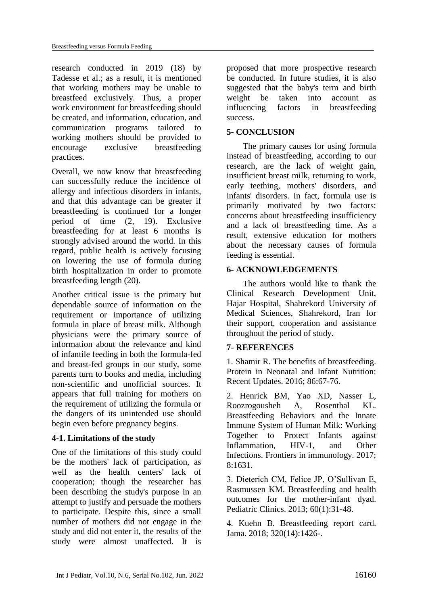research conducted in 2019 (18) by Tadesse et al.; as a result, it is mentioned that working mothers may be unable to breastfeed exclusively. Thus, a proper work environment for breastfeeding should be created, and information, education, and communication programs tailored to working mothers should be provided to encourage exclusive breastfeeding practices.

Overall, we now know that breastfeeding can successfully reduce the incidence of allergy and infectious disorders in infants, and that this advantage can be greater if breastfeeding is continued for a longer period of time (2, 19). Exclusive breastfeeding for at least 6 months is strongly advised around the world. In this regard, public health is actively focusing on lowering the use of formula during birth hospitalization in order to promote breastfeeding length (20).

Another critical issue is the primary but dependable source of information on the requirement or importance of utilizing formula in place of breast milk. Although physicians were the primary source of information about the relevance and kind of infantile feeding in both the formula-fed and breast-fed groups in our study, some parents turn to books and media, including non-scientific and unofficial sources. It appears that full training for mothers on the requirement of utilizing the formula or the dangers of its unintended use should begin even before pregnancy begins.

#### **4-1. Limitations of the study**

One of the limitations of this study could be the mothers' lack of participation, as well as the health centers' lack of cooperation; though the researcher has been describing the study's purpose in an attempt to justify and persuade the mothers to participate. Despite this, since a small number of mothers did not engage in the study and did not enter it, the results of the study were almost unaffected. It is proposed that more prospective research be conducted. In future studies, it is also suggested that the baby's term and birth weight be taken into account as influencing factors in breastfeeding success.

## **5- CONCLUSION**

The primary causes for using formula instead of breastfeeding, according to our research, are the lack of weight gain, insufficient breast milk, returning to work, early teething, mothers' disorders, and infants' disorders. In fact, formula use is primarily motivated by two factors: concerns about breastfeeding insufficiency and a lack of breastfeeding time. As a result, extensive education for mothers about the necessary causes of formula feeding is essential.

## **6- ACKNOWLEDGEMENTS**

The authors would like to thank the Clinical Research Development Unit, Hajar Hospital, Shahrekord University of Medical Sciences, Shahrekord, Iran for their support, cooperation and assistance throughout the period of study.

## **7- REFERENCES**

1. Shamir R. The benefits of breastfeeding. Protein in Neonatal and Infant Nutrition: Recent Updates. 2016; 86:67-76.

2. Henrick BM, Yao XD, Nasser L, Roozrogousheh A, Rosenthal KL. Breastfeeding Behaviors and the Innate Immune System of Human Milk: Working Together to Protect Infants against Inflammation, HIV-1, and Other Infections. Frontiers in immunology. 2017; 8:1631.

3. Dieterich CM, Felice JP, O'Sullivan E, Rasmussen KM. Breastfeeding and health outcomes for the mother-infant dyad. Pediatric Clinics. 2013; 60(1):31-48.

4. Kuehn B. Breastfeeding report card. Jama. 2018; 320(14):1426-.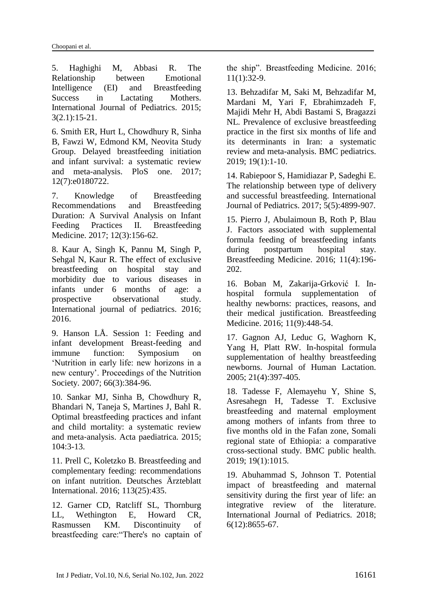5. Haghighi M, Abbasi R. The Relationship between Emotional Intelligence (EI) and Breastfeeding Success in Lactating Mothers. International Journal of Pediatrics. 2015; 3(2.1):15-21.

6. Smith ER, Hurt L, Chowdhury R, Sinha B, Fawzi W, Edmond KM, [Neovita Study](https://pubmed.ncbi.nlm.nih.gov/?term=Neovita+Study+Group%5BCorporate+Author%5D)  [Group.](https://pubmed.ncbi.nlm.nih.gov/?term=Neovita+Study+Group%5BCorporate+Author%5D) Delayed breastfeeding initiation and infant survival: a systematic review and meta-analysis. PloS one. 2017; 12(7):e0180722.

7. Knowledge of Breastfeeding Recommendations and Breastfeeding Duration: A Survival Analysis on Infant Feeding Practices II. Breastfeeding Medicine. 2017; 12(3):156-62.

8. Kaur A, Singh K, Pannu M, Singh P, Sehgal N, Kaur R. The effect of exclusive breastfeeding on hospital stay and morbidity due to various diseases in infants under 6 months of age: a prospective observational study. International journal of pediatrics. 2016; 2016.

9. Hanson LÅ. Session 1: Feeding and infant development Breast-feeding and immune function: Symposium on 'Nutrition in early life: new horizons in a new century'. Proceedings of the Nutrition Society. 2007; 66(3):384-96.

10. Sankar MJ, Sinha B, Chowdhury R, Bhandari N, Taneja S, Martines J, Bahl R. Optimal breastfeeding practices and infant and child mortality: a systematic review and meta‐analysis. Acta paediatrica. 2015; 104:3-13.

11. Prell C, Koletzko B. Breastfeeding and complementary feeding: recommendations on infant nutrition. Deutsches Ärzteblatt International. 2016; 113(25):435.

12. Garner CD, Ratcliff SL, Thornburg LL, Wethington E, Howard CR, Rasmussen KM. Discontinuity of breastfeeding care:"There's no captain of the ship". Breastfeeding Medicine. 2016; 11(1):32-9.

13. Behzadifar M, Saki M, Behzadifar M, Mardani M, Yari F, Ebrahimzadeh F, Majidi Mehr H, Abdi Bastami S, Bragazzi NL. Prevalence of exclusive breastfeeding practice in the first six months of life and its determinants in Iran: a systematic review and meta-analysis. BMC pediatrics. 2019; 19(1):1-10.

14. Rabiepoor S, Hamidiazar P, Sadeghi E. The relationship between type of delivery and successful breastfeeding. International Journal of Pediatrics. 2017; 5(5):4899-907.

15. Pierro J, Abulaimoun B, Roth P, Blau J. Factors associated with supplemental formula feeding of breastfeeding infants during postpartum hospital stay. Breastfeeding Medicine. 2016; 11(4):196- 202.

16. Boban M, Zakarija-Grković I. Inhospital formula supplementation of healthy newborns: practices, reasons, and their medical justification. Breastfeeding Medicine. 2016; 11(9):448-54.

17. Gagnon AJ, Leduc G, Waghorn K, Yang H, Platt RW. In-hospital formula supplementation of healthy breastfeeding newborns. Journal of Human Lactation. 2005; 21(4):397-405.

18. Tadesse F, Alemayehu Y, Shine S, Asresahegn H, Tadesse T. Exclusive breastfeeding and maternal employment among mothers of infants from three to five months old in the Fafan zone, Somali regional state of Ethiopia: a comparative cross-sectional study. BMC public health. 2019; 19(1):1015.

19. Abuhammad S, Johnson T. Potential impact of breastfeeding and maternal sensitivity during the first year of life: an integrative review of the literature. International Journal of Pediatrics. 2018; 6(12):8655-67.